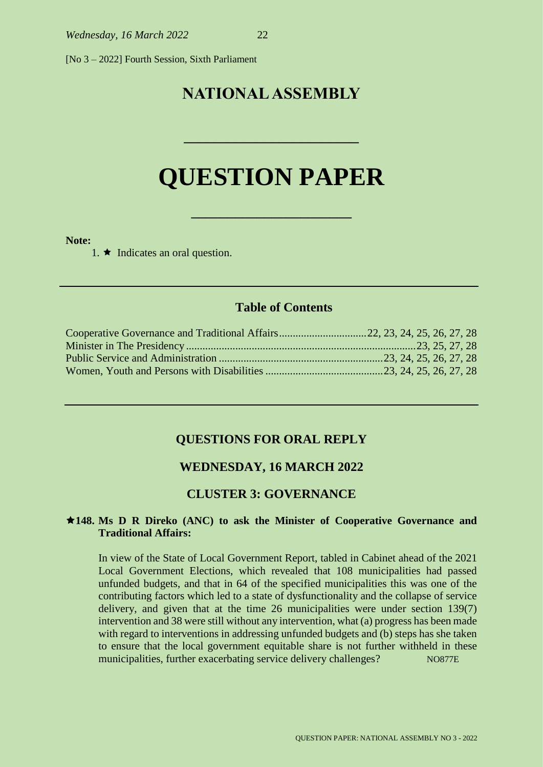[No 3 – 2022] Fourth Session, Sixth Parliament

## **NATIONAL ASSEMBLY**

# **QUESTION PAPER**

**\_\_\_\_\_\_\_\_\_\_\_\_\_\_\_\_\_\_\_\_\_\_**

**\_\_\_\_\_\_\_\_\_\_\_\_\_\_\_\_\_\_\_\_\_\_\_\_**

#### **Note:**

1.  $\star$  Indicates an oral question.

## **Table of Contents**

#### **QUESTIONS FOR ORAL REPLY**

## **WEDNESDAY, 16 MARCH 2022**

## **CLUSTER 3: GOVERNANCE**

#### **148. Ms D R Direko (ANC) to ask the Minister of Cooperative Governance and Traditional Affairs:**

In view of the State of Local Government Report, tabled in Cabinet ahead of the 2021 Local Government Elections, which revealed that 108 municipalities had passed unfunded budgets, and that in 64 of the specified municipalities this was one of the contributing factors which led to a state of dysfunctionality and the collapse of service delivery, and given that at the time 26 municipalities were under section 139(7) intervention and 38 were still without any intervention, what (a) progress has been made with regard to interventions in addressing unfunded budgets and (b) steps has she taken to ensure that the local government equitable share is not further withheld in these municipalities, further exacerbating service delivery challenges? NO877E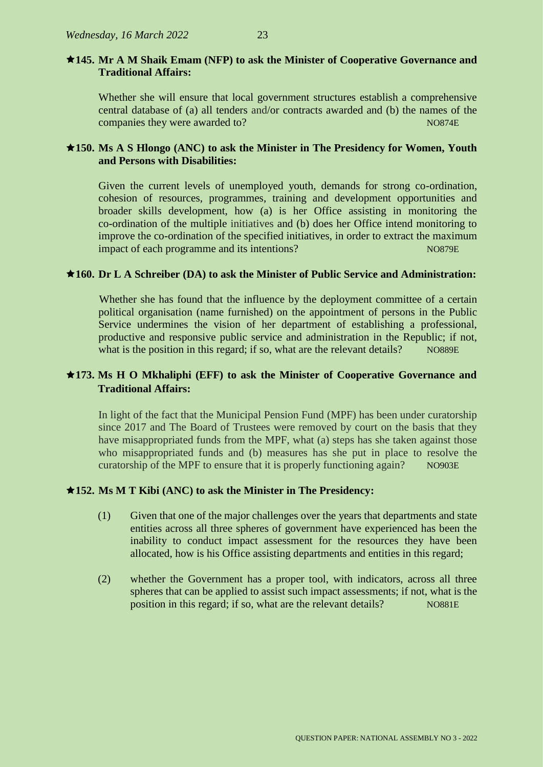## **145. Mr A M Shaik Emam (NFP) to ask the Minister of Cooperative Governance and Traditional Affairs:**

Whether she will ensure that local government structures establish a comprehensive central database of (a) all tenders and/or contracts awarded and (b) the names of the companies they were awarded to? NO874E

## **150. Ms A S Hlongo (ANC) to ask the Minister in The Presidency for Women, Youth and Persons with Disabilities:**

Given the current levels of unemployed youth, demands for strong co-ordination, cohesion of resources, programmes, training and development opportunities and broader skills development, how (a) is her Office assisting in monitoring the co-ordination of the multiple initiatives and (b) does her Office intend monitoring to improve the co-ordination of the specified initiatives, in order to extract the maximum impact of each programme and its intentions? NO879E

#### **160. Dr L A Schreiber (DA) to ask the Minister of Public Service and Administration:**

Whether she has found that the influence by the deployment committee of a certain political organisation (name furnished) on the appointment of persons in the Public Service undermines the vision of her department of establishing a professional, productive and responsive public service and administration in the Republic; if not, what is the position in this regard; if so, what are the relevant details? NO889E

## **173. Ms H O Mkhaliphi (EFF) to ask the Minister of Cooperative Governance and Traditional Affairs:**

In light of the fact that the Municipal Pension Fund (MPF) has been under curatorship since 2017 and The Board of Trustees were removed by court on the basis that they have misappropriated funds from the MPF, what (a) steps has she taken against those who misappropriated funds and (b) measures has she put in place to resolve the curatorship of the MPF to ensure that it is properly functioning again? NO903E

#### **152. Ms M T Kibi (ANC) to ask the Minister in The Presidency:**

- (1) Given that one of the major challenges over the years that departments and state entities across all three spheres of government have experienced has been the inability to conduct impact assessment for the resources they have been allocated, how is his Office assisting departments and entities in this regard;
- (2) whether the Government has a proper tool, with indicators, across all three spheres that can be applied to assist such impact assessments; if not, what is the position in this regard; if so, what are the relevant details? NO881E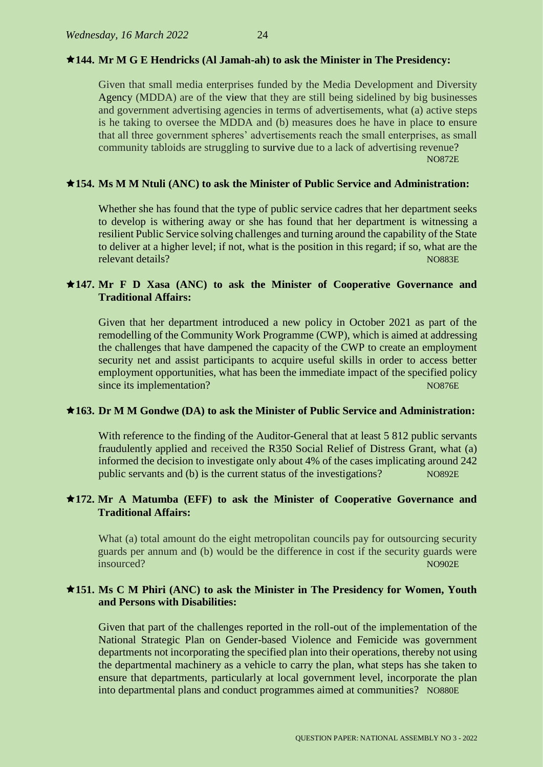## **144. Mr M G E Hendricks (Al Jamah-ah) to ask the Minister in The Presidency:**

Given that small media enterprises funded by the Media Development and Diversity Agency (MDDA) are of the view that they are still being sidelined by big businesses and government advertising agencies in terms of advertisements, what (a) active steps is he taking to oversee the MDDA and (b) measures does he have in place to ensure that all three government spheres' advertisements reach the small enterprises, as small community tabloids are struggling to survive due to a lack of advertising revenue? NO872E

#### **154. Ms M M Ntuli (ANC) to ask the Minister of Public Service and Administration:**

Whether she has found that the type of public service cadres that her department seeks to develop is withering away or she has found that her department is witnessing a resilient Public Service solving challenges and turning around the capability of the State to deliver at a higher level; if not, what is the position in this regard; if so, what are the relevant details? NO883E

## **147. Mr F D Xasa (ANC) to ask the Minister of Cooperative Governance and Traditional Affairs:**

Given that her department introduced a new policy in October 2021 as part of the remodelling of the Community Work Programme (CWP), which is aimed at addressing the challenges that have dampened the capacity of the CWP to create an employment security net and assist participants to acquire useful skills in order to access better employment opportunities, what has been the immediate impact of the specified policy since its implementation? NO876E

#### **163. Dr M M Gondwe (DA) to ask the Minister of Public Service and Administration:**

With reference to the finding of the Auditor-General that at least 5 812 public servants fraudulently applied and received the R350 Social Relief of Distress Grant, what (a) informed the decision to investigate only about 4% of the cases implicating around 242 public servants and (b) is the current status of the investigations? NO892E

## **172. Mr A Matumba (EFF) to ask the Minister of Cooperative Governance and Traditional Affairs:**

What (a) total amount do the eight metropolitan councils pay for outsourcing security guards per annum and (b) would be the difference in cost if the security guards were **insourced?** NO902E

## **151. Ms C M Phiri (ANC) to ask the Minister in The Presidency for Women, Youth and Persons with Disabilities:**

Given that part of the challenges reported in the roll-out of the implementation of the National Strategic Plan on Gender-based Violence and Femicide was government departments not incorporating the specified plan into their operations, thereby not using the departmental machinery as a vehicle to carry the plan, what steps has she taken to ensure that departments, particularly at local government level, incorporate the plan into departmental plans and conduct programmes aimed at communities? NO880E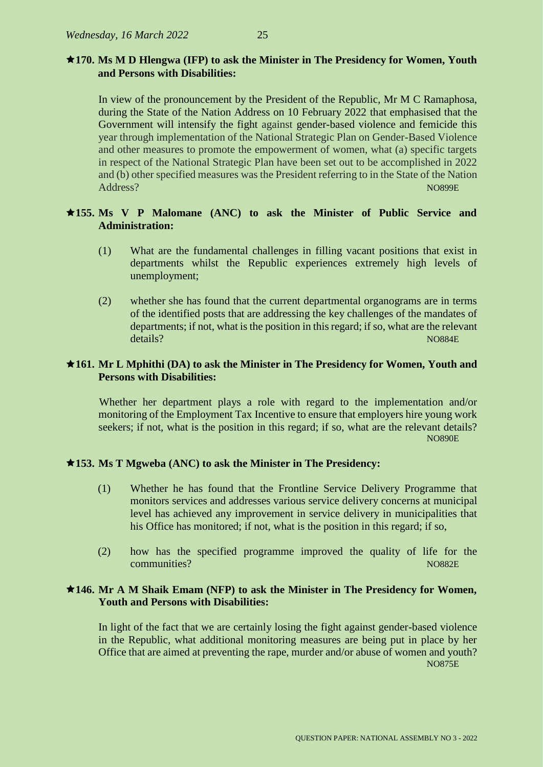## **170. Ms M D Hlengwa (IFP) to ask the Minister in The Presidency for Women, Youth and Persons with Disabilities:**

In view of the pronouncement by the President of the Republic, Mr M C Ramaphosa, during the State of the Nation Address on 10 February 2022 that emphasised that the Government will intensify the fight against gender-based violence and femicide this year through implementation of the National Strategic Plan on Gender-Based Violence and other measures to promote the empowerment of women, what (a) specific targets in respect of the National Strategic Plan have been set out to be accomplished in 2022 and (b) other specified measures was the President referring to in the State of the Nation Address? Note a contract that the contract of the contract of the contract of the contract of the contract of the contract of the contract of the contract of the contract of the contract of the contract of the contract of

## **155. Ms V P Malomane (ANC) to ask the Minister of Public Service and Administration:**

- (1) What are the fundamental challenges in filling vacant positions that exist in departments whilst the Republic experiences extremely high levels of unemployment;
- (2) whether she has found that the current departmental organograms are in terms of the identified posts that are addressing the key challenges of the mandates of departments; if not, what is the position in this regard; if so, what are the relevant details? NO884E

#### **161. Mr L Mphithi (DA) to ask the Minister in The Presidency for Women, Youth and Persons with Disabilities:**

Whether her department plays a role with regard to the implementation and/or monitoring of the Employment Tax Incentive to ensure that employers hire young work seekers; if not, what is the position in this regard; if so, what are the relevant details? NO890E

#### **153. Ms T Mgweba (ANC) to ask the Minister in The Presidency:**

- (1) Whether he has found that the Frontline Service Delivery Programme that monitors services and addresses various service delivery concerns at municipal level has achieved any improvement in service delivery in municipalities that his Office has monitored; if not, what is the position in this regard; if so,
- (2) how has the specified programme improved the quality of life for the communities? NO882E

## **146. Mr A M Shaik Emam (NFP) to ask the Minister in The Presidency for Women, Youth and Persons with Disabilities:**

In light of the fact that we are certainly losing the fight against gender-based violence in the Republic, what additional monitoring measures are being put in place by her Office that are aimed at preventing the rape, murder and/or abuse of women and youth? NO875E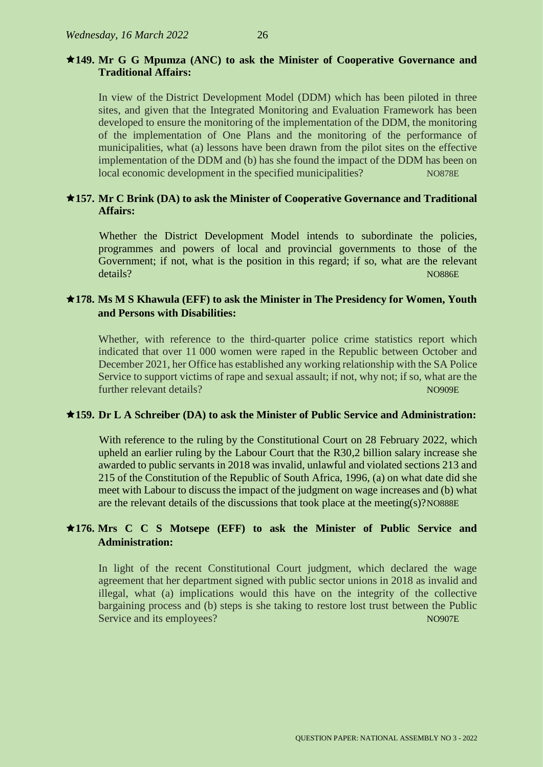## **149. Mr G G Mpumza (ANC) to ask the Minister of Cooperative Governance and Traditional Affairs:**

In view of the District Development Model (DDM) which has been piloted in three sites, and given that the Integrated Monitoring and Evaluation Framework has been developed to ensure the monitoring of the implementation of the DDM, the monitoring of the implementation of One Plans and the monitoring of the performance of municipalities, what (a) lessons have been drawn from the pilot sites on the effective implementation of the DDM and (b) has she found the impact of the DDM has been on local economic development in the specified municipalities? NO878E

## **157. Mr C Brink (DA) to ask the Minister of Cooperative Governance and Traditional Affairs:**

Whether the District Development Model intends to subordinate the policies, programmes and powers of local and provincial governments to those of the Government; if not, what is the position in this regard; if so, what are the relevant details? NO886E

## **178. Ms M S Khawula (EFF) to ask the Minister in The Presidency for Women, Youth and Persons with Disabilities:**

Whether, with reference to the third-quarter police crime statistics report which indicated that over 11 000 women were raped in the Republic between October and December 2021, her Office has established any working relationship with the SA Police Service to support victims of rape and sexual assault; if not, why not; if so, what are the further relevant details? NO909E

## **159. Dr L A Schreiber (DA) to ask the Minister of Public Service and Administration:**

With reference to the ruling by the Constitutional Court on 28 February 2022, which upheld an earlier ruling by the Labour Court that the R30,2 billion salary increase she awarded to public servants in 2018 was invalid, unlawful and violated sections 213 and 215 of the Constitution of the Republic of South Africa, 1996, (a) on what date did she meet with Labour to discuss the impact of the judgment on wage increases and (b) what are the relevant details of the discussions that took place at the meeting(s)?NO888E

## **176. Mrs C C S Motsepe (EFF) to ask the Minister of Public Service and Administration:**

In light of the recent Constitutional Court judgment, which declared the wage agreement that her department signed with public sector unions in 2018 as invalid and illegal, what (a) implications would this have on the integrity of the collective bargaining process and (b) steps is she taking to restore lost trust between the Public Service and its employees? No was a service and its employees?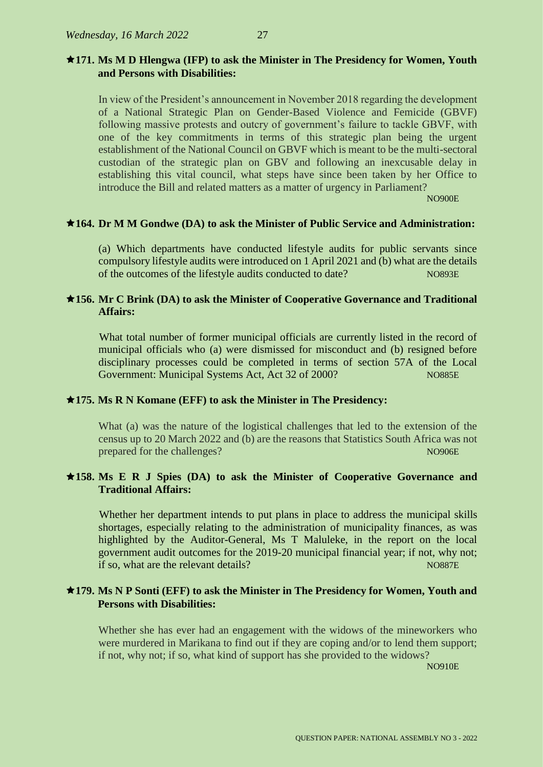## **171. Ms M D Hlengwa (IFP) to ask the Minister in The Presidency for Women, Youth and Persons with Disabilities:**

In view of the President's announcement in November 2018 regarding the development of a National Strategic Plan on Gender-Based Violence and Femicide (GBVF) following massive protests and outcry of government's failure to tackle GBVF, with one of the key commitments in terms of this strategic plan being the urgent establishment of the National Council on GBVF which is meant to be the multi-sectoral custodian of the strategic plan on GBV and following an inexcusable delay in establishing this vital council, what steps have since been taken by her Office to introduce the Bill and related matters as a matter of urgency in Parliament?

NO900E

#### **164. Dr M M Gondwe (DA) to ask the Minister of Public Service and Administration:**

(a) Which departments have conducted lifestyle audits for public servants since compulsory lifestyle audits were introduced on 1 April 2021 and (b) what are the details of the outcomes of the lifestyle audits conducted to date? NO893E

## **156. Mr C Brink (DA) to ask the Minister of Cooperative Governance and Traditional Affairs:**

What total number of former municipal officials are currently listed in the record of municipal officials who (a) were dismissed for misconduct and (b) resigned before disciplinary processes could be completed in terms of section 57A of the Local Government: Municipal Systems Act, Act 32 of 2000? NO885E

## **175. Ms R N Komane (EFF) to ask the Minister in The Presidency:**

What (a) was the nature of the logistical challenges that led to the extension of the census up to 20 March 2022 and (b) are the reasons that Statistics South Africa was not prepared for the challenges? NO906E

## **158. Ms E R J Spies (DA) to ask the Minister of Cooperative Governance and Traditional Affairs:**

Whether her department intends to put plans in place to address the municipal skills shortages, especially relating to the administration of municipality finances, as was highlighted by the Auditor-General, Ms T Maluleke, in the report on the local government audit outcomes for the 2019-20 municipal financial year; if not, why not; if so, what are the relevant details? No have a set of the relevant details and the relevant details and the non-

## **179. Ms N P Sonti (EFF) to ask the Minister in The Presidency for Women, Youth and Persons with Disabilities:**

Whether she has ever had an engagement with the widows of the mineworkers who were murdered in Marikana to find out if they are coping and/or to lend them support; if not, why not; if so, what kind of support has she provided to the widows?

NO910E